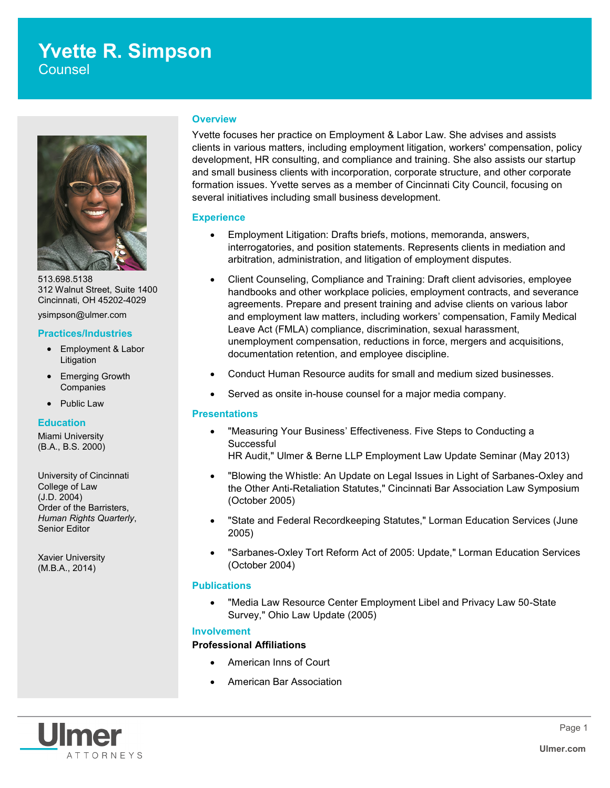# **Yvette R. Simpson**

**Counsel** 



513.698.5138 312 Walnut Street, Suite 1400 Cincinnati, OH 45202-4029

ysimpson@ulmer.com

# **Practices/Industries**

- Employment & Labor Litigation
- Emerging Growth **Companies**
- Public Law

#### **Education**

Miami University (B.A., B.S. 2000)

University of Cincinnati College of Law (J.D. 2004) Order of the Barristers, *Human Rights Quarterly*, Senior Editor

Xavier University (M.B.A., 2014)

#### **Overview**

Yvette focuses her practice on Employment & Labor Law. She advises and assists clients in various matters, including employment litigation, workers' compensation, policy development, HR consulting, and compliance and training. She also assists our startup and small business clients with incorporation, corporate structure, and other corporate formation issues. Yvette serves as a member of Cincinnati City Council, focusing on several initiatives including small business development.

# **Experience**

- Employment Litigation: Drafts briefs, motions, memoranda, answers, interrogatories, and position statements. Represents clients in mediation and arbitration, administration, and litigation of employment disputes.
- Client Counseling, Compliance and Training: Draft client advisories, employee handbooks and other workplace policies, employment contracts, and severance agreements. Prepare and present training and advise clients on various labor and employment law matters, including workers' compensation, Family Medical Leave Act (FMLA) compliance, discrimination, sexual harassment, unemployment compensation, reductions in force, mergers and acquisitions, documentation retention, and employee discipline.
- Conduct Human Resource audits for small and medium sized businesses.
- Served as onsite in-house counsel for a major media company.

#### **Presentations**

- "Measuring Your Business' Effectiveness. Five Steps to Conducting a **Successful** 
	- HR Audit," Ulmer & Berne LLP Employment Law Update Seminar (May 2013)
- "Blowing the Whistle: An Update on Legal Issues in Light of Sarbanes-Oxley and the Other Anti-Retaliation Statutes," Cincinnati Bar Association Law Symposium (October 2005)
- "State and Federal Recordkeeping Statutes," Lorman Education Services (June 2005)
- "Sarbanes-Oxley Tort Reform Act of 2005: Update," Lorman Education Services (October 2004)

# **Publications**

 "Media Law Resource Center Employment Libel and Privacy Law 50-State Survey," Ohio Law Update (2005)

# **Involvement**

#### **Professional Affiliations**

- American Inns of Court
- American Bar Association

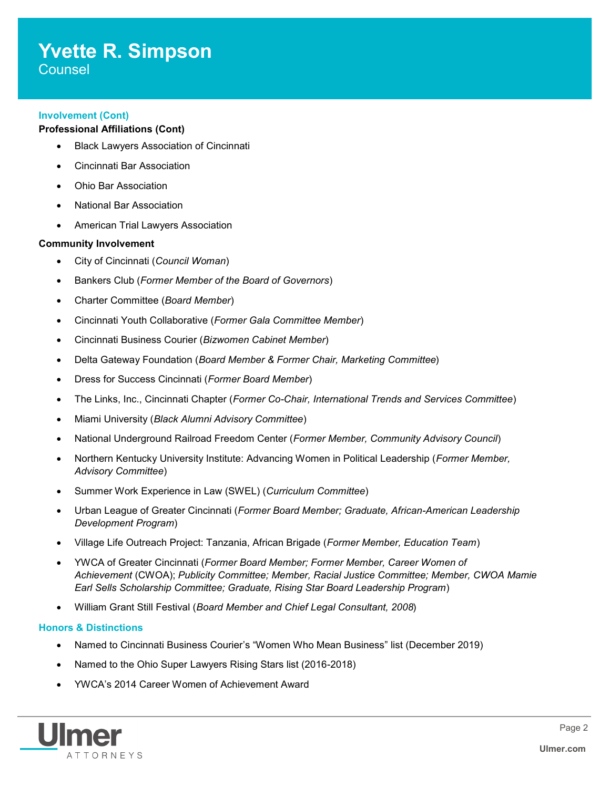# **Yvette R. Simpson Counsel**

**Involvement (Cont)**

# **Professional Affiliations (Cont)**

- Black Lawyers Association of Cincinnati
- Cincinnati Bar Association
- Ohio Bar Association
- National Bar Association
- American Trial Lawyers Association

# **Community Involvement**

- City of Cincinnati (*Council Woman*)
- Bankers Club (*Former Member of the Board of Governors*)
- Charter Committee (*Board Member*)
- Cincinnati Youth Collaborative (*Former Gala Committee Member*)
- Cincinnati Business Courier (*Bizwomen Cabinet Member*)
- Delta Gateway Foundation (*Board Member & Former Chair, Marketing Committee*)
- Dress for Success Cincinnati (*Former Board Member*)
- The Links, Inc., Cincinnati Chapter (*Former Co-Chair, International Trends and Services Committee*)
- Miami University (*Black Alumni Advisory Committee*)
- National Underground Railroad Freedom Center (*Former Member, Community Advisory Council*)
- Northern Kentucky University Institute: Advancing Women in Political Leadership (*Former Member, Advisory Committee*)
- Summer Work Experience in Law (SWEL) (*Curriculum Committee*)
- Urban League of Greater Cincinnati (*Former Board Member; Graduate, African-American Leadership Development Program*)
- Village Life Outreach Project: Tanzania, African Brigade (*Former Member, Education Team*)
- YWCA of Greater Cincinnati (*Former Board Member; Former Member, Career Women of Achievement* (CWOA); *Publicity Committee; Member, Racial Justice Committee; Member, CWOA Mamie Earl Sells Scholarship Committee; Graduate, Rising Star Board Leadership Program*)
- William Grant Still Festival (*Board Member and Chief Legal Consultant, 2008*)

#### **Honors & Distinctions**

- Named to Cincinnati Business Courier's "Women Who Mean Business" list (December 2019)
- Named to the Ohio Super Lawyers Rising Stars list (2016-2018)
- YWCA's 2014 Career Women of Achievement Award